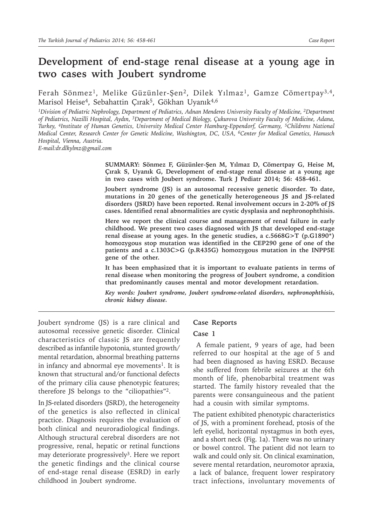# **Development of end-stage renal disease at a young age in two cases with Joubert syndrome**

Ferah Sönmez<sup>1</sup>, Melike Güzünler-Şen<sup>2</sup>, Dilek Yılmaz<sup>1</sup>, Gamze Cömertpay<sup>3,4</sup>, Marisol Heise<sup>4</sup>, Sebahattin Çırak<sup>5</sup>, Gökhan Uyanık<sup>4,6</sup>

*1Division of Pediatric Nephrology, Department of Pediatrics, Adnan Menderes University Faculty of Medicine, 2Department of Pediatrics, Nazilli Hospital, Aydın, 3Department of Medical Biology, Çukurova University Faculty of Medicine, Adana, Turkey, 4Institute of Human Genetics, University Medical Center Hamburg-Eppendorf, Germany, 5Childrens National Medical Center, Research Center for Genetic Medicine, Washington, DC, USA, 6Center for Medical Genetics, Hanusch Hospital, Vienna, Austria.*

*E-mail:dr.dlkylmz@gmail.com*

**SUMMARY: Sönmez F, Güzünler-Şen M, Yılmaz D, Cömertpay G, Heise M, Çırak S, Uyanık G, Development of end-stage renal disease at a young age in two cases with Joubert syndrome. Turk J Pediatr 2014; 56: 458-461.**

**Joubert syndrome (JS) is an autosomal recessive genetic disorder. To date, mutations in 20 genes of the genetically heterogeneous JS and JS-related disorders (JSRD) have been reported. Renal involvement occurs in 2-20% of JS cases. Identified renal abnormalities are cystic dysplasia and nephronophthisis.** 

**Here we report the clinical course and management of renal failure in early childhood. We present two cases diagnosed with JS that developed end-stage renal disease at young ages. In the genetic studies, a c.5668G>T (p.G1890\*) homozygous stop mutation was identified in the CEP290 gene of one of the patients and a c.1303C>G (p.R435G) homozygous mutation in the INPP5E gene of the other.**

**It has been emphasized that it is important to evaluate patients in terms of renal disease when monitoring the progress of Joubert syndrome, a condition that predominantly causes mental and motor development retardation.** 

*Key words: Joubert syndrome, Joubert syndrome-related disorders, nephronophthisis, chronic kidney disease.*

Joubert syndrome (JS) is a rare clinical and autosomal recessive genetic disorder. Clinical characteristics of classic JS are frequently described as infantile hypotonia, stunted growth/ mental retardation, abnormal breathing patterns in infancy and abnormal eye movements<sup>1</sup>. It is known that structural and/or functional defects of the primary cilia cause phenotypic features; therefore JS belongs to the "ciliopathies"2.

In JS-related disorders (JSRD), the heterogeneity of the genetics is also reflected in clinical practice. Diagnosis requires the evaluation of both clinical and neuroradiological findings. Although structural cerebral disorders are not progressive, renal, hepatic or retinal functions may deteriorate progressively<sup>3</sup>. Here we report the genetic findings and the clinical course of end-stage renal disease (ESRD) in early childhood in Joubert syndrome.

## **Case Reports**

#### **Case 1**

 A female patient, 9 years of age, had been referred to our hospital at the age of 5 and had been diagnosed as having ESRD. Because she suffered from febrile seizures at the 6th month of life, phenobarbital treatment was started. The family history revealed that the parents were consanguineous and the patient had a cousin with similar symptoms.

The patient exhibited phenotypic characteristics of JS, with a prominent forehead, ptosis of the left eyelid, horizontal nystagmus in both eyes, and a short neck (Fig. 1a). There was no urinary or bowel control. The patient did not learn to walk and could only sit. On clinical examination, severe mental retardation, neuromotor apraxia, a lack of balance, frequent lower respiratory tract infections, involuntary movements of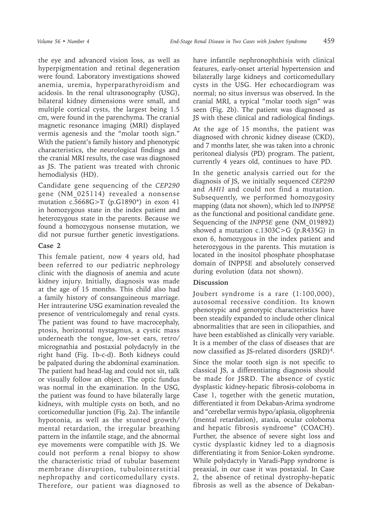the eye and advanced vision loss, as well as hyperpigmentation and retinal degeneration were found. Laboratory investigations showed anemia, uremia, hyperparathyroidism and acidosis. In the renal ultrasonography (USG), bilateral kidney dimensions were small, and multiple cortical cysts, the largest being 1.5 cm, were found in the parenchyma. The cranial magnetic resonance imaging (MRI) displayed vermis agenesis and the "molar tooth sign." With the patient's family history and phenotypic characteristics, the neurological findings and the cranial MRI results, the case was diagnosed as JS. The patient was treated with chronic hemodialysis (HD).

Candidate gene sequencing of the *CEP290* gene (NM\_025114) revealed a nonsense mutation c.5668G>T (p.G1890\*) in exon 41 in homozygous state in the index patient and heterozygous state in the parents. Because we found a homozygous nonsense mutation, we did not pursue further genetic investigations.

# **Case 2**

This female patient, now 4 years old, had been referred to our pediatric nephrology clinic with the diagnosis of anemia and acute kidney injury. Initially, diagnosis was made at the age of 15 months. This child also had a family history of consanguineous marriage. Her intrauterine USG examination revealed the presence of ventriculomegaly and renal cysts. The patient was found to have macrocephaly, ptosis, horizontal nystagmus, a cystic mass underneath the tongue, low-set ears, retro/ micrognathia and postaxial polydactyly in the right hand (Fig. 1b-c-d). Both kidneys could be palpated during the abdominal examination. The patient had head-lag and could not sit, talk or visually follow an object. The optic fundus was normal in the examination. In the USG, the patient was found to have bilaterally large kidneys, with multiple cysts on both, and no corticomedullar junction (Fig. 2a). The infantile hypotonia, as well as the stunted growth/ mental retardation, the irregular breathing pattern in the infantile stage, and the abnormal eye movements were compatible with JS. We could not perform a renal biopsy to show the characteristic triad of tubular basement membrane disruption, tubulointerstitial nephropathy and corticomedullary cysts. Therefore, our patient was diagnosed to

have infantile nephronophthisis with clinical features, early-onset arterial hypertension and bilaterally large kidneys and corticomedullary cysts in the USG. Her echocardiogram was normal; no situs inversus was observed. In the cranial MRI, a typical "molar tooth sign" was seen (Fig. 2b). The patient was diagnosed as JS with these clinical and radiological findings.

At the age of 15 months, the patient was diagnosed with chronic kidney disease (CKD), and 7 months later, she was taken into a chronic peritoneal dialysis (PD) program. The patient, currently 4 years old, continues to have PD.

In the genetic analysis carried out for the diagnosis of JS, we initially sequenced *CEP290* and *AHI1* and could not find a mutation. Subsequently, we performed homozygosity mapping (data not shown), which led to *INPP5E*  as the functional and positional candidate gene. Sequencing of the *INPP5E* gene (NM\_019892) showed a mutation c.1303C>G (p.R435G) in exon 6, homozygous in the index patient and heterozygous in the parents. This mutation is located in the inositol phosphate phosphatase domain of INPP5E and absolutely conserved during evolution (data not shown).

# **Discussion**

Joubert syndrome is a rare (1:100,000), autosomal recessive condition. Its known phenotypic and genotypic characteristics have been steadily expanded to include other clinical abnormalities that are seen in ciliopathies, and have been established as clinically very variable. It is a member of the class of diseases that are now classified as JS-related disorders (JSRD)4.

Since the molar tooth sign is not specific to classical JS, a differentiating diagnosis should be made for JSRD. The absence of cystic dysplastic kidney-hepatic fibrosis-coloboma in Case 1, together with the genetic mutation, differentiated it from Dekaban-Arima syndrome and "cerebellar vermis hypo/aplasia, oligophrenia (mental retardation), ataxia, ocular coloboma and hepatic fibrosis syndrome" (COACH). Further, the absence of severe sight loss and cystic dysplastic kidney led to a diagnosis differentiating it from Senior-Loken syndrome. While polydactyly in Varadi-Papp syndrome is preaxial, in our case it was postaxial. In Case 2, the absence of retinal dystrophy-hepatic fibrosis as well as the absence of Dekaban-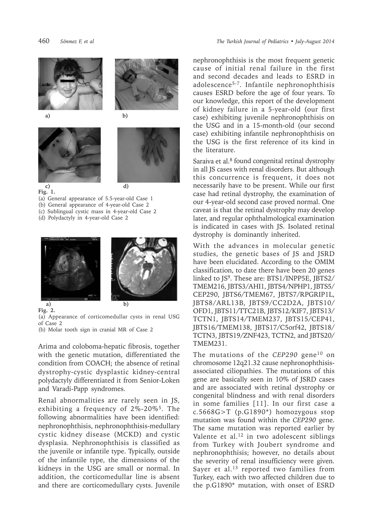



**a) b)**





**Fig. 1.**

(a) General appearance of 5.5-year-old Case 1

- (b) General appearance of 4-year-old Case 2
- (c) Sublingual cystic mass in 4-year-old Case 2
- (d) Polydactyly in 4-year-old Case 2





(a) Appearance of corticomedullar cysts in renal USG of Case 2

(b) Molar tooth sign in cranial MR of Case 2

Arima and coloboma-hepatic fibrosis, together with the genetic mutation, differentiated the condition from COACH; the absence of retinal dystrophy-cystic dysplastic kidney-central polydactyly differentiated it from Senior-Loken and Varadi-Papp syndromes.

Renal abnormalities are rarely seen in JS, exhibiting a frequency of 2%-20%5. The following abnormalities have been identified: nephronophthisis, nephronophthisis-medullary cystic kidney disease (MCKD) and cystic dysplasia. Nephronophthisis is classified as the juvenile or infantile type. Typically, outside of the infantile type, the dimensions of the kidneys in the USG are small or normal. In addition, the corticomedullar line is absent and there are corticomedullary cysts. Juvenile

nephronophthisis is the most frequent genetic cause of initial renal failure in the first and second decades and leads to ESRD in adolescence5-7. Infantile nephronophthisis causes ESRD before the age of four years. To our knowledge, this report of the development of kidney failure in a 5-year-old (our first case) exhibiting juvenile nephronophthisis on the USG and in a 15-month-old (our second case) exhibiting infantile nephronophthisis on the USG is the first reference of its kind in the literature.

Saraiva et al.<sup>8</sup> found congenital retinal dystrophy in all JS cases with renal disorders. But although this concurrence is frequent, it does not necessarily have to be present. While our first case had retinal dystrophy, the examination of our 4-year-old second case proved normal. One caveat is that the retinal dystrophy may develop later, and regular ophthalmological examination is indicated in cases with JS. Isolated retinal dystrophy is dominantly inherited.

With the advances in molecular genetic studies, the genetic bases of JS and JSRD have been elucidated. According to the OMIM classification, to date there have been 20 genes linked to JS9. These are: BTS1/INPP5E, JBTS2/ TMEM216, JBTS3/AHI1, JBTS4/NPHP1, JBTS5/ CEP290, JBTS6/TMEM67, JBTS7/RPGRIP1L, JBTS8/ARL13B, JBTS9/CC2D2A, JBTS10/ OFD1, JBTS11/TTC21B, JBTS12/KIF7, JBTS13/ TCTN1, JBTS14/TMEM237, JBTS15/CEP41, JBTS16/TMEM138, JBTS17/C5orf42, JBTS18/ TCTN3, JBTS19/ZNF423, TCTN2, and JBTS20/ TMEM231.

The mutations of the *CEP290* gene<sup>10</sup> on chromosome 12q21.32 cause nephronophthisisassociated ciliopathies. The mutations of this gene are basically seen in 10% of JSRD cases and are associated with retinal dystrophy or congenital blindness and with renal disorders in some families [11]. In our first case a c.5668G>T (p.G1890\*) homozygous stop mutation was found within the *CEP290* gene. The same mutation was reported earlier by Valente et al.<sup>12</sup> in two adolescent siblings from Turkey with Joubert syndrome and nephronophthisis; however, no details about the severity of renal insufficiency were given. Sayer et al.<sup>13</sup> reported two families from Turkey, each with two affected children due to the p.G1890\* mutation, with onset of ESRD